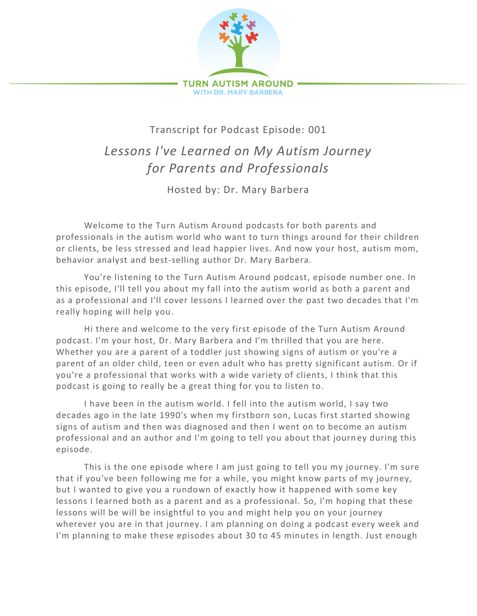

## Transcript for Podcast Episode: 001

## *Lessons I've Learned on My Autism Journey for Parents and Professionals*

Hosted by: Dr. Mary Barbera

Welcome to the Turn Autism Around podcasts for both parents and professionals in the autism world who want to turn things around for their children or clients, be less stressed and lead happier lives. And now your host, autism mom, behavior analyst and best-selling author Dr. Mary Barbera.

You're listening to the Turn Autism Around podcast, episode number one. In this episode, I'll tell you about my fall into the autism world as both a parent and as a professional and I'll cover lessons I learned over the past two decades that I'm really hoping will help you.

Hi there and welcome to the very first episode of the Turn Autism Around podcast. I'm your host, Dr. Mary Barbera and I'm thrilled that you are here. Whether you are a parent of a toddler just showing signs of autism or you're a parent of an older child, teen or even adult who has pretty significant autism. Or if you're a professional that works with a wide variety of clients, I think that this podcast is going to really be a great thing for you to listen to.

I have been in the autism world. I fell into the autism world, I say two decades ago in the late 1990's when my firstborn son, Lucas first started showing signs of autism and then was diagnosed and then I went on to become an autism professional and an author and I'm going to tell you about that journ ey during this episode.

This is the one episode where I am just going to tell you my journey. I'm sure that if you've been following me for a while, you might know parts of my journey, but I wanted to give you a rundown of exactly how it happened with some key lessons I learned both as a parent and as a professional. So, I'm hoping that these lessons will be will be insightful to you and might help you on your journey wherever you are in that journey. I am planning on doing a podcast every week and I'm planning to make these episodes about 30 to 45 minutes in length. Just enough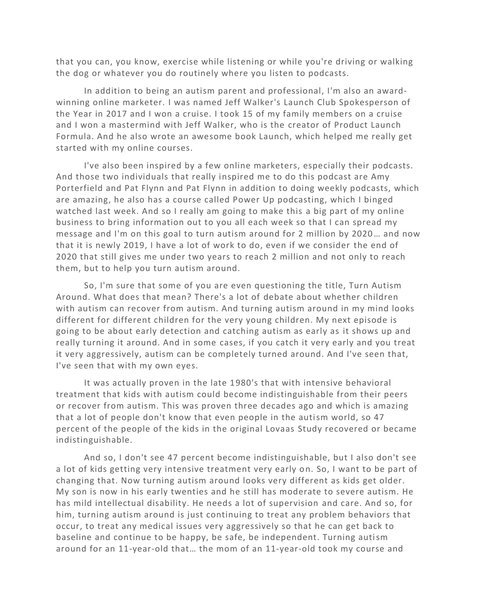that you can, you know, exercise while listening or while you're driving or walking the dog or whatever you do routinely where you listen to podcasts.

In addition to being an autism parent and professional, I'm also an awardwinning online marketer. I was named Jeff Walker's Launch Club Spokesperson of the Year in 2017 and I won a cruise. I took 15 of my family members on a cruise and I won a mastermind with Jeff Walker, who is the creator of Product Launch Formula. And he also wrote an awesome book Launch, which helped me really get started with my online courses.

I've also been inspired by a few online marketers, especially their podcasts. And those two individuals that really inspired me to do this podcast are Amy Porterfield and Pat Flynn and Pat Flynn in addition to doing weekly podcasts, which are amazing, he also has a course called Power Up podcasting, which I binged watched last week. And so I really am going to make this a big part of my online business to bring information out to you all each week so that I can spread my message and I'm on this goal to turn autism around for 2 million by 2020… and now that it is newly 2019, I have a lot of work to do, even if we consider the end of 2020 that still gives me under two years to reach 2 million and not only to reach them, but to help you turn autism around.

So, I'm sure that some of you are even questioning the title, Turn Autism Around. What does that mean? There's a lot of debate about whether children with autism can recover from autism. And turning autism around in my mind looks different for different children for the very young children. My next episode is going to be about early detection and catching autism as early as it shows up and really turning it around. And in some cases, if you catch it very early and you treat it very aggressively, autism can be completely turned around. And I've seen that, I've seen that with my own eyes.

It was actually proven in the late 1980's that with intensive behavioral treatment that kids with autism could become indistinguishable from their peers or recover from autism. This was proven three decades ago and which is amazing that a lot of people don't know that even people in the autism world, so 47 percent of the people of the kids in the original Lovaas Study recovered or became indistinguishable.

And so, I don't see 47 percent become indistinguishable, but I also don't see a lot of kids getting very intensive treatment very early on. So, I want to be part of changing that. Now turning autism around looks very different as kids get older. My son is now in his early twenties and he still has moderate to severe autism. He has mild intellectual disability. He needs a lot of supervision and care. And so, for him, turning autism around is just continuing to treat any problem behaviors that occur, to treat any medical issues very aggressively so that he can get back to baseline and continue to be happy, be safe, be independent. Turning autism around for an 11-year-old that… the mom of an 11-year-old took my course and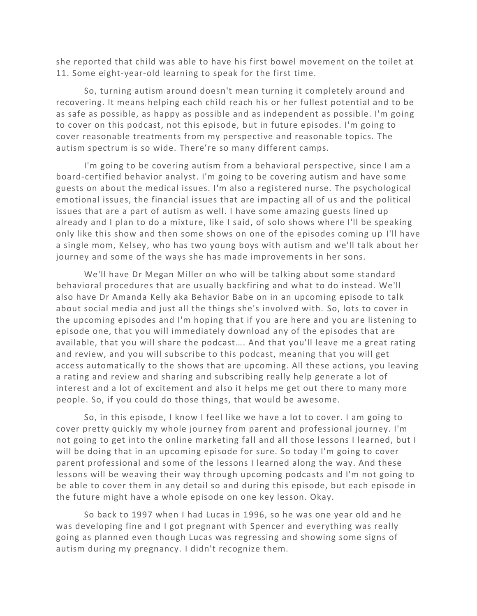she reported that child was able to have his first bowel movement on the toilet at 11. Some eight-year-old learning to speak for the first time.

So, turning autism around doesn't mean turning it completely around and recovering. It means helping each child reach his or her fullest potential and to be as safe as possible, as happy as possible and as independent as possible. I'm going to cover on this podcast, not this episode, but in future episodes. I'm going to cover reasonable treatments from my perspective and reasonable topics. The autism spectrum is so wide. There're so many different camps.

I'm going to be covering autism from a behavioral perspective, since I am a board-certified behavior analyst. I'm going to be covering autism and have some guests on about the medical issues. I'm also a registered nurse. The psychological emotional issues, the financial issues that are impacting all of us and the political issues that are a part of autism as well. I have some amazing guests lined up already and I plan to do a mixture, like I said, of solo shows where I'll be speaking only like this show and then some shows on one of the episodes coming up I'll have a single mom, Kelsey, who has two young boys with autism and we'll talk about her journey and some of the ways she has made improvements in her sons.

We'll have Dr Megan Miller on who will be talking about some standard behavioral procedures that are usually backfiring and what to do instead. We'll also have Dr Amanda Kelly aka Behavior Babe on in an upcoming episode to talk about social media and just all the things she's involved with. So, lots to cover in the upcoming episodes and I'm hoping that if you are here and you are listening to episode one, that you will immediately download any of the episodes that are available, that you will share the podcast…. And that you'll leave me a great rating and review, and you will subscribe to this podcast, meaning that you will get access automatically to the shows that are upcoming. All these actions, you leaving a rating and review and sharing and subscribing really help generate a lot of interest and a lot of excitement and also it helps me get out there to many more people. So, if you could do those things, that would be awesome.

So, in this episode, I know I feel like we have a lot to cover. I am going to cover pretty quickly my whole journey from parent and professional journey. I'm not going to get into the online marketing fall and all those lessons I learned, but I will be doing that in an upcoming episode for sure. So today I'm going to cover parent professional and some of the lessons I learned along the way. And these lessons will be weaving their way through upcoming podca sts and I'm not going to be able to cover them in any detail so and during this episode, but each episode in the future might have a whole episode on one key lesson. Okay.

So back to 1997 when I had Lucas in 1996, so he was one year old and he was developing fine and I got pregnant with Spencer and everything was really going as planned even though Lucas was regressing and showing some signs of autism during my pregnancy. I didn't recognize them.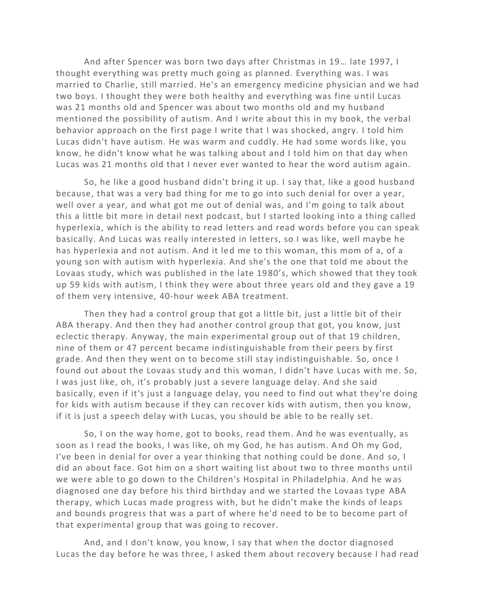And after Spencer was born two days after Christmas in 19… late 1997, I thought everything was pretty much going as planned. Everything was. I was married to Charlie, still married. He's an emergency medicine physician and we had two boys. I thought they were both healthy and everything was fine u ntil Lucas was 21 months old and Spencer was about two months old and my husband mentioned the possibility of autism. And I write about this in my book, the verbal behavior approach on the first page I write that I was shocked, angry. I told him Lucas didn't have autism. He was warm and cuddly. He had some words like, you know, he didn't know what he was talking about and I told him on that day when Lucas was 21 months old that I never ever wanted to hear the word autism again.

So, he like a good husband didn't bring it up. I say that, like a good husband because, that was a very bad thing for me to go into such denial for over a year, well over a year, and what got me out of denial was, and I'm going to talk about this a little bit more in detail next podcast, but I started looking into a thing called hyperlexia, which is the ability to read letters and read words before you can speak basically. And Lucas was really interested in letters, so I was like, well maybe he has hyperlexia and not autism. And it led me to this woman, this mom of a, of a young son with autism with hyperlexia. And she's the one that told me about the Lovaas study, which was published in the late 1980's, which showed that they took up 59 kids with autism, I think they were about three years old and they gave a 19 of them very intensive, 40-hour week ABA treatment.

Then they had a control group that got a little bit, just a little bit of their ABA therapy. And then they had another control group that got, you know, just eclectic therapy. Anyway, the main experimental group out of that 19 children, nine of them or 47 percent became indistinguishable from their peers by first grade. And then they went on to become still stay indistinguishable. So, once I found out about the Lovaas study and this woman, I didn't have Lucas with me. So, I was just like, oh, it's probably just a severe language delay. And she said basically, even if it's just a language delay, you need to find out what they're doing for kids with autism because if they can recover kids with autism, then you know, if it is just a speech delay with Lucas, you should be able to be really set.

So, I on the way home, got to books, read them. And he was eventually, as soon as I read the books, I was like, oh my God, he has autism. And Oh my God, I've been in denial for over a year thinking that nothing could be done. And so, I did an about face. Got him on a short waiting list about two to three months until we were able to go down to the Children's Hospital in Philadelphia. And he was diagnosed one day before his third birthday and we started the Lovaas type ABA therapy, which Lucas made progress with, but he didn't make the kinds of leaps and bounds progress that was a part of where he'd need to be to become part of that experimental group that was going to recover.

And, and I don't know, you know, I say that when the doctor diagnosed Lucas the day before he was three, I asked them about recovery because I had read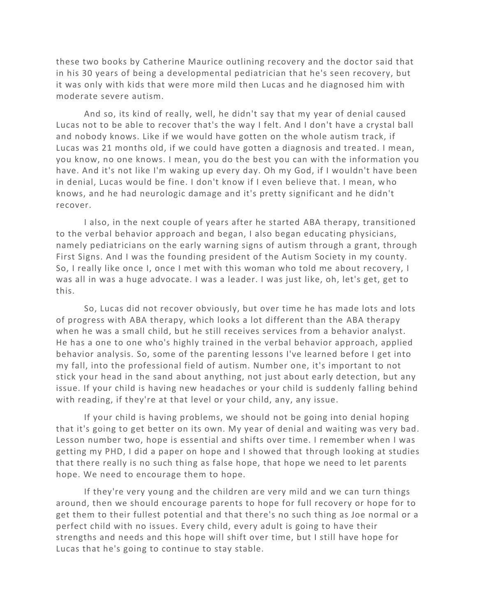these two books by Catherine Maurice outlining recovery and the doctor said that in his 30 years of being a developmental pediatrician that he's seen recovery, but it was only with kids that were more mild then Lucas and he diagnosed him with moderate severe autism.

And so, its kind of really, well, he didn't say that my year of denial caused Lucas not to be able to recover that's the way I felt. And I don't have a crystal ball and nobody knows. Like if we would have gotten on the whole autism track, if Lucas was 21 months old, if we could have gotten a diagnosis and treated. I mean, you know, no one knows. I mean, you do the best you can with the information you have. And it's not like I'm waking up every day. Oh my God, if I wouldn't have been in denial, Lucas would be fine. I don't know if I even believe that. I mean, who knows, and he had neurologic damage and it's pretty significant and he didn't recover.

I also, in the next couple of years after he started ABA therapy, transitioned to the verbal behavior approach and began, I also began educating physicians, namely pediatricians on the early warning signs of autism through a grant, through First Signs. And I was the founding president of the Autism Society in my county. So, I really like once I, once I met with this woman who told me about recovery, I was all in was a huge advocate. I was a leader. I was just like, oh, let's get, get to this.

So, Lucas did not recover obviously, but over time he has made lots and lots of progress with ABA therapy, which looks a lot different than the ABA therapy when he was a small child, but he still receives services from a behavior analyst. He has a one to one who's highly trained in the verbal behavior approach, applied behavior analysis. So, some of the parenting lessons I've learned before I get into my fall, into the professional field of autism. Number one, it's important to not stick your head in the sand about anything, not just about early detection, but any issue. If your child is having new headaches or your child is suddenly falling behind with reading, if they're at that level or your child, any, any issue.

If your child is having problems, we should not be going into denial hoping that it's going to get better on its own. My year of denial and waiting was very bad. Lesson number two, hope is essential and shifts over time. I remember when I was getting my PHD, I did a paper on hope and I showed that through looking at studies that there really is no such thing as false hope, that hope we need to let parents hope. We need to encourage them to hope.

If they're very young and the children are very mild and we can turn things around, then we should encourage parents to hope for full recovery or hope for to get them to their fullest potential and that there's no such thing as Joe normal or a perfect child with no issues. Every child, every adult is going to have their strengths and needs and this hope will shift over time, but I still have hope for Lucas that he's going to continue to stay stable.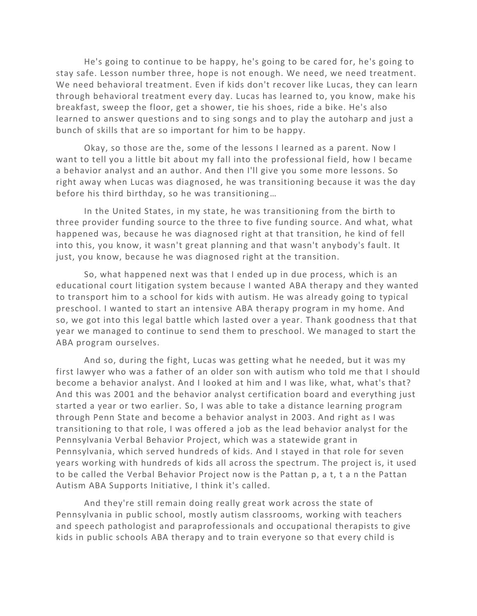He's going to continue to be happy, he's going to be cared for, he's going to stay safe. Lesson number three, hope is not enough. We need, we need treatment. We need behavioral treatment. Even if kids don't recover like Lucas, they can learn through behavioral treatment every day. Lucas has learned to, you know, make his breakfast, sweep the floor, get a shower, tie his shoes, ride a bike. He's also learned to answer questions and to sing songs and to play the autoharp and just a bunch of skills that are so important for him to be happy.

Okay, so those are the, some of the lessons I learned as a parent. Now I want to tell you a little bit about my fall into the professional field, how I became a behavior analyst and an author. And then I'll give you some more lessons. So right away when Lucas was diagnosed, he was transitioning because it was the day before his third birthday, so he was transitioning…

In the United States, in my state, he was transitioning from the birth to three provider funding source to the three to five funding source. And what, what happened was, because he was diagnosed right at that transition, he kind of fell into this, you know, it wasn't great planning and that wasn't anybody's fault. It just, you know, because he was diagnosed right at the transition.

So, what happened next was that I ended up in due process, which is an educational court litigation system because I wanted ABA therapy and they wanted to transport him to a school for kids with autism. He was already going to typical preschool. I wanted to start an intensive ABA therapy program in my home. And so, we got into this legal battle which lasted over a year. Thank goodness that that year we managed to continue to send them to preschool. We managed to start the ABA program ourselves.

And so, during the fight, Lucas was getting what he needed, but it was my first lawyer who was a father of an older son with autism who told me that I should become a behavior analyst. And I looked at him and I was like, what, what's that? And this was 2001 and the behavior analyst certification board and everything just started a year or two earlier. So, I was able to take a distance learning program through Penn State and become a behavior analyst in 2003. And right as I was transitioning to that role, I was offered a job as the lead behavior analyst for the Pennsylvania Verbal Behavior Project, which was a statewide grant in Pennsylvania, which served hundreds of kids. And I stayed in that role for seven years working with hundreds of kids all across the spectrum. The project is, it used to be called the Verbal Behavior Project now is the Pattan p, a t, t a n the Pattan Autism ABA Supports Initiative, I think it's called.

And they're still remain doing really great work across the state of Pennsylvania in public school, mostly autism classrooms, working with teachers and speech pathologist and paraprofessionals and occupational therapists to give kids in public schools ABA therapy and to train everyone so that every child is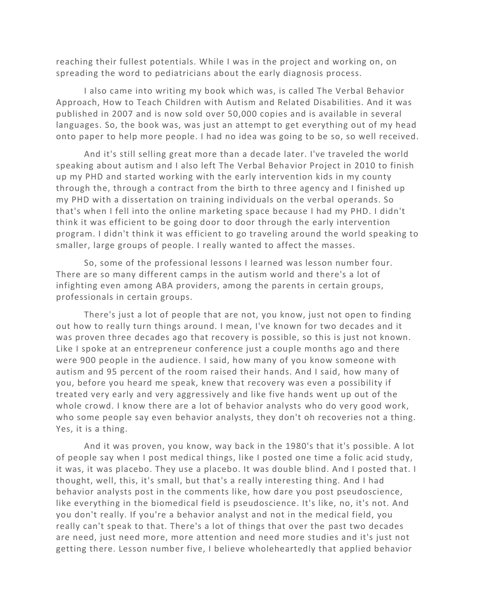reaching their fullest potentials. While I was in the project and working on, on spreading the word to pediatricians about the early diagnosis process.

I also came into writing my book which was, is called The Verbal Behavior Approach, How to Teach Children with Autism and Related Disabilities. And it was published in 2007 and is now sold over 50,000 copies and is available in several languages. So, the book was, was just an attempt to get everything out of my head onto paper to help more people. I had no idea was going to be so, so well received.

And it's still selling great more than a decade later. I've traveled the world speaking about autism and I also left The Verbal Behavior Project in 2010 to finish up my PHD and started working with the early intervention kids in my county through the, through a contract from the birth to three agency and I finished up my PHD with a dissertation on training individuals on the verbal operands. So that's when I fell into the online marketing space because I had my PHD. I didn't think it was efficient to be going door to door through the early intervention program. I didn't think it was efficient to go traveling around the world speaking to smaller, large groups of people. I really wanted to affect the masses.

So, some of the professional lessons I learned was lesson number four. There are so many different camps in the autism world and there's a lot of infighting even among ABA providers, among the parents in certain groups, professionals in certain groups.

There's just a lot of people that are not, you know, just not open to finding out how to really turn things around. I mean, I've known for two decades and it was proven three decades ago that recovery is possible, so this is just not known. Like I spoke at an entrepreneur conference just a couple months ago and there were 900 people in the audience. I said, how many of you know someone with autism and 95 percent of the room raised their hands. And I said, how many of you, before you heard me speak, knew that recovery was even a possibility if treated very early and very aggressively and like five hands went up out of the whole crowd. I know there are a lot of behavior analysts who do very good work, who some people say even behavior analysts, they don't oh recoveries not a thing. Yes, it is a thing.

And it was proven, you know, way back in the 1980's that it's possible. A lot of people say when I post medical things, like I posted one time a folic acid study, it was, it was placebo. They use a placebo. It was double blind. And I posted that. I thought, well, this, it's small, but that's a really interesting thing. And I had behavior analysts post in the comments like, how dare you post pseudoscience, like everything in the biomedical field is pseudoscience. It's like, no, it's not. And you don't really. If you're a behavior analyst and not in the medical field, you really can't speak to that. There's a lot of things that over the past two decades are need, just need more, more attention and need more studies and it's just not getting there. Lesson number five, I believe wholeheartedly that applied behavior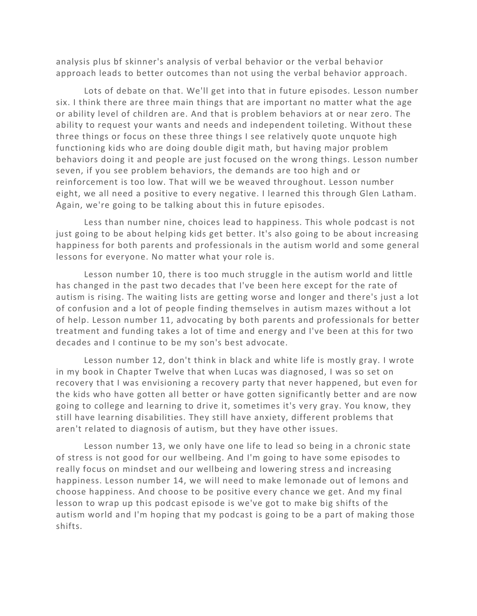analysis plus bf skinner's analysis of verbal behavior or the verbal behavi or approach leads to better outcomes than not using the verbal behavior approach.

Lots of debate on that. We'll get into that in future episodes. Lesson number six. I think there are three main things that are important no matter what the age or ability level of children are. And that is problem behaviors at or near zero. The ability to request your wants and needs and independent toileting. Without these three things or focus on these three things I see relatively quote unquote high functioning kids who are doing double digit math, but having major problem behaviors doing it and people are just focused on the wrong things. Lesson number seven, if you see problem behaviors, the demands are too high and or reinforcement is too low. That will we be weaved throughout. Lesson number eight, we all need a positive to every negative. I learned this through Glen Latham. Again, we're going to be talking about this in future episodes.

Less than number nine, choices lead to happiness. This whole podcast is not just going to be about helping kids get better. It's also going to be about increasing happiness for both parents and professionals in the autism world and some general lessons for everyone. No matter what your role is.

Lesson number 10, there is too much struggle in the autism world and little has changed in the past two decades that I've been here except for the rate of autism is rising. The waiting lists are getting worse and longer and there's just a lot of confusion and a lot of people finding themselves in autism mazes without a lot of help. Lesson number 11, advocating by both parents and professionals for better treatment and funding takes a lot of time and energy and I've been at this for two decades and I continue to be my son's best advocate.

Lesson number 12, don't think in black and white life is mostly gray. I wrote in my book in Chapter Twelve that when Lucas was diagnosed, I was so set on recovery that I was envisioning a recovery party that never happened, but even for the kids who have gotten all better or have gotten significantly better and are now going to college and learning to drive it, sometimes it's very gray. You know, they still have learning disabilities. They still have anxiety, different problems that aren't related to diagnosis of autism, but they have other issues.

Lesson number 13, we only have one life to lead so being in a chronic state of stress is not good for our wellbeing. And I'm going to have some episodes to really focus on mindset and our wellbeing and lowering stress a nd increasing happiness. Lesson number 14, we will need to make lemonade out of lemons and choose happiness. And choose to be positive every chance we get. And my final lesson to wrap up this podcast episode is we've got to make big shifts of the autism world and I'm hoping that my podcast is going to be a part of making those shifts.